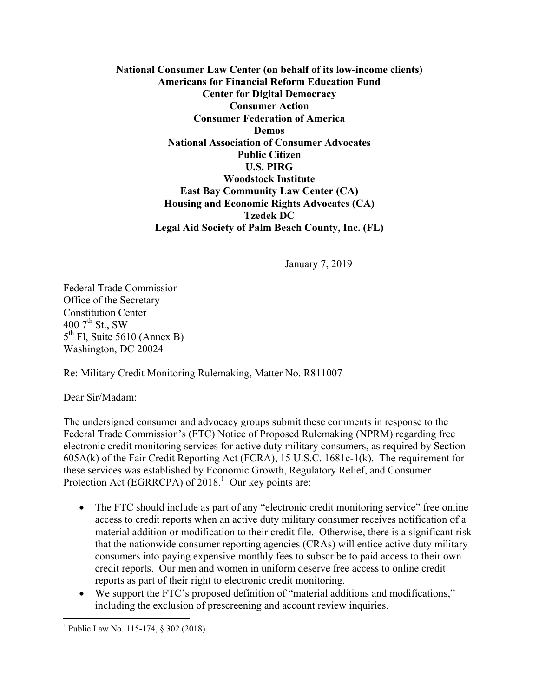**National Consumer Law Center (on behalf of its low-income clients) Americans for Financial Reform Education Fund Center for Digital Democracy Consumer Action Consumer Federation of America Demos National Association of Consumer Advocates Public Citizen U.S. PIRG Woodstock Institute East Bay Community Law Center (CA) Housing and Economic Rights Advocates (CA) Tzedek DC Legal Aid Society of Palm Beach County, Inc. (FL)**

January 7, 2019

Federal Trade Commission Office of the Secretary Constitution Center 400  $7^{\text{th}}$  St., SW  $5<sup>th</sup>$  Fl, Suite 5610 (Annex B) Washington, DC 20024

Re: Military Credit Monitoring Rulemaking, Matter No. R811007

Dear Sir/Madam:

The undersigned consumer and advocacy groups submit these comments in response to the Federal Trade Commission's (FTC) Notice of Proposed Rulemaking (NPRM) regarding free electronic credit monitoring services for active duty military consumers, as required by Section 605A(k) of the Fair Credit Reporting Act (FCRA), 15 U.S.C. 1681c-1(k). The requirement for these services was established by Economic Growth, Regulatory Relief, and Consumer Protection Act (EGRRCPA) of  $2018<sup>1</sup>$  Our key points are:

- The FTC should include as part of any "electronic credit monitoring service" free online access to credit reports when an active duty military consumer receives notification of a material addition or modification to their credit file. Otherwise, there is a significant risk that the nationwide consumer reporting agencies (CRAs) will entice active duty military consumers into paying expensive monthly fees to subscribe to paid access to their own credit reports. Our men and women in uniform deserve free access to online credit reports as part of their right to electronic credit monitoring.
- We support the FTC's proposed definition of "material additions and modifications," including the exclusion of prescreening and account review inquiries.

 $\overline{a}$ 

<sup>&</sup>lt;sup>1</sup> Public Law No. 115-174, § 302 (2018).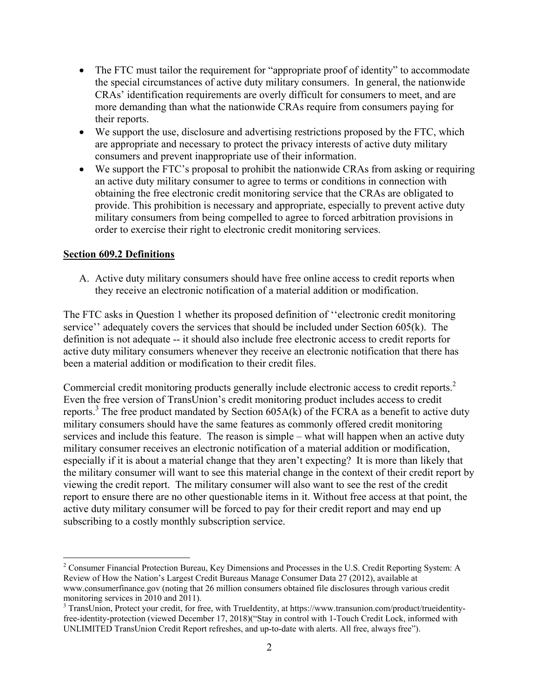- The FTC must tailor the requirement for "appropriate proof of identity" to accommodate the special circumstances of active duty military consumers. In general, the nationwide CRAs' identification requirements are overly difficult for consumers to meet, and are more demanding than what the nationwide CRAs require from consumers paying for their reports.
- We support the use, disclosure and advertising restrictions proposed by the FTC, which are appropriate and necessary to protect the privacy interests of active duty military consumers and prevent inappropriate use of their information.
- We support the FTC's proposal to prohibit the nationwide CRAs from asking or requiring an active duty military consumer to agree to terms or conditions in connection with obtaining the free electronic credit monitoring service that the CRAs are obligated to provide. This prohibition is necessary and appropriate, especially to prevent active duty military consumers from being compelled to agree to forced arbitration provisions in order to exercise their right to electronic credit monitoring services.

### **Section 609.2 Definitions**

<u>.</u>

A. Active duty military consumers should have free online access to credit reports when they receive an electronic notification of a material addition or modification.

The FTC asks in Question 1 whether its proposed definition of ''electronic credit monitoring service'' adequately covers the services that should be included under Section 605(k). The definition is not adequate -- it should also include free electronic access to credit reports for active duty military consumers whenever they receive an electronic notification that there has been a material addition or modification to their credit files.

Commercial credit monitoring products generally include electronic access to credit reports.<sup>2</sup> Even the free version of TransUnion's credit monitoring product includes access to credit reports.<sup>3</sup> The free product mandated by Section  $605A(k)$  of the FCRA as a benefit to active duty military consumers should have the same features as commonly offered credit monitoring services and include this feature. The reason is simple – what will happen when an active duty military consumer receives an electronic notification of a material addition or modification, especially if it is about a material change that they aren't expecting? It is more than likely that the military consumer will want to see this material change in the context of their credit report by viewing the credit report. The military consumer will also want to see the rest of the credit report to ensure there are no other questionable items in it. Without free access at that point, the active duty military consumer will be forced to pay for their credit report and may end up subscribing to a costly monthly subscription service.

<sup>&</sup>lt;sup>2</sup> Consumer Financial Protection Bureau, Key Dimensions and Processes in the U.S. Credit Reporting System: A Review of How the Nation's Largest Credit Bureaus Manage Consumer Data 27 (2012), available at www.consumerfinance.gov (noting that 26 million consumers obtained file disclosures through various credit monitoring services in 2010 and 2011).

<sup>&</sup>lt;sup>3</sup> TransUnion, Protect your credit, for free, with TrueIdentity, at https://www.transunion.com/product/trueidentityfree-identity-protection (viewed December 17, 2018)("Stay in control with 1-Touch Credit Lock, informed with UNLIMITED TransUnion Credit Report refreshes, and up-to-date with alerts. All free, always free").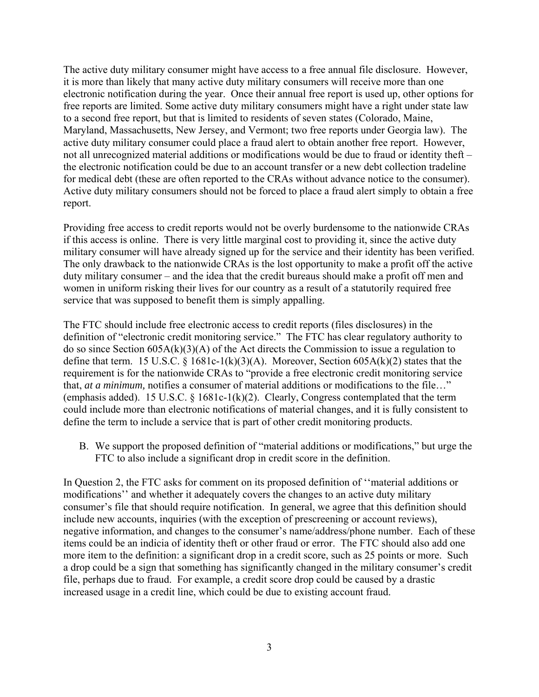The active duty military consumer might have access to a free annual file disclosure. However, it is more than likely that many active duty military consumers will receive more than one electronic notification during the year. Once their annual free report is used up, other options for free reports are limited. Some active duty military consumers might have a right under state law to a second free report, but that is limited to residents of seven states (Colorado, Maine, Maryland, Massachusetts, New Jersey, and Vermont; two free reports under Georgia law). The active duty military consumer could place a fraud alert to obtain another free report. However, not all unrecognized material additions or modifications would be due to fraud or identity theft – the electronic notification could be due to an account transfer or a new debt collection tradeline for medical debt (these are often reported to the CRAs without advance notice to the consumer). Active duty military consumers should not be forced to place a fraud alert simply to obtain a free report.

Providing free access to credit reports would not be overly burdensome to the nationwide CRAs if this access is online. There is very little marginal cost to providing it, since the active duty military consumer will have already signed up for the service and their identity has been verified. The only drawback to the nationwide CRAs is the lost opportunity to make a profit off the active duty military consumer – and the idea that the credit bureaus should make a profit off men and women in uniform risking their lives for our country as a result of a statutorily required free service that was supposed to benefit them is simply appalling.

The FTC should include free electronic access to credit reports (files disclosures) in the definition of "electronic credit monitoring service." The FTC has clear regulatory authority to do so since Section 605A(k)(3)(A) of the Act directs the Commission to issue a regulation to define that term. 15 U.S.C. § 1681c-1(k)(3)(A). Moreover, Section 605A(k)(2) states that the requirement is for the nationwide CRAs to "provide a free electronic credit monitoring service that, *at a minimum,* notifies a consumer of material additions or modifications to the file…" (emphasis added). 15 U.S.C.  $\S$  1681c-1(k)(2). Clearly, Congress contemplated that the term could include more than electronic notifications of material changes, and it is fully consistent to define the term to include a service that is part of other credit monitoring products.

B. We support the proposed definition of "material additions or modifications," but urge the FTC to also include a significant drop in credit score in the definition.

In Question 2, the FTC asks for comment on its proposed definition of ''material additions or modifications'' and whether it adequately covers the changes to an active duty military consumer's file that should require notification. In general, we agree that this definition should include new accounts, inquiries (with the exception of prescreening or account reviews), negative information, and changes to the consumer's name/address/phone number. Each of these items could be an indicia of identity theft or other fraud or error. The FTC should also add one more item to the definition: a significant drop in a credit score, such as 25 points or more. Such a drop could be a sign that something has significantly changed in the military consumer's credit file, perhaps due to fraud. For example, a credit score drop could be caused by a drastic increased usage in a credit line, which could be due to existing account fraud.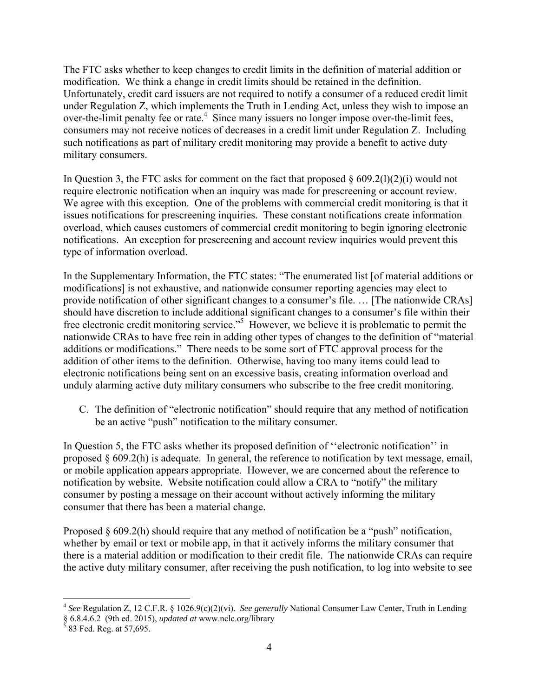The FTC asks whether to keep changes to credit limits in the definition of material addition or modification. We think a change in credit limits should be retained in the definition. Unfortunately, credit card issuers are not required to notify a consumer of a reduced credit limit under Regulation Z, which implements the Truth in Lending Act, unless they wish to impose an over-the-limit penalty fee or rate.<sup>4</sup> Since many issuers no longer impose over-the-limit fees, consumers may not receive notices of decreases in a credit limit under Regulation Z. Including such notifications as part of military credit monitoring may provide a benefit to active duty military consumers.

In Question 3, the FTC asks for comment on the fact that proposed  $\S$  609.2(1)(2)(i) would not require electronic notification when an inquiry was made for prescreening or account review. We agree with this exception. One of the problems with commercial credit monitoring is that it issues notifications for prescreening inquiries. These constant notifications create information overload, which causes customers of commercial credit monitoring to begin ignoring electronic notifications. An exception for prescreening and account review inquiries would prevent this type of information overload.

In the Supplementary Information, the FTC states: "The enumerated list [of material additions or modifications] is not exhaustive, and nationwide consumer reporting agencies may elect to provide notification of other significant changes to a consumer's file. … [The nationwide CRAs] should have discretion to include additional significant changes to a consumer's file within their free electronic credit monitoring service."<sup>5</sup> However, we believe it is problematic to permit the nationwide CRAs to have free rein in adding other types of changes to the definition of "material additions or modifications." There needs to be some sort of FTC approval process for the addition of other items to the definition. Otherwise, having too many items could lead to electronic notifications being sent on an excessive basis, creating information overload and unduly alarming active duty military consumers who subscribe to the free credit monitoring.

C. The definition of "electronic notification" should require that any method of notification be an active "push" notification to the military consumer.

In Question 5, the FTC asks whether its proposed definition of "electronic notification" in proposed § 609.2(h) is adequate. In general, the reference to notification by text message, email, or mobile application appears appropriate. However, we are concerned about the reference to notification by website. Website notification could allow a CRA to "notify" the military consumer by posting a message on their account without actively informing the military consumer that there has been a material change.

Proposed  $\S 609.2(h)$  should require that any method of notification be a "push" notification, whether by email or text or mobile app, in that it actively informs the military consumer that there is a material addition or modification to their credit file. The nationwide CRAs can require the active duty military consumer, after receiving the push notification, to log into website to see

 $\overline{a}$ 

<sup>4</sup> *See* Regulation Z, 12 C.F.R. § 1026.9(c)(2)(vi). *See generally* National Consumer Law Center, Truth in Lending § 6.8.4.6.2 (9th ed. 2015), *updated at* www.nclc.org/library 5 83 Fed. Reg. at 57,695.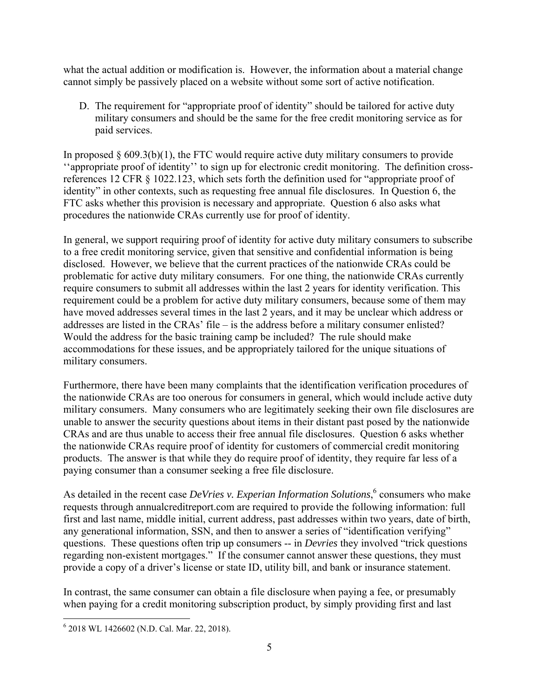what the actual addition or modification is. However, the information about a material change cannot simply be passively placed on a website without some sort of active notification.

D. The requirement for "appropriate proof of identity" should be tailored for active duty military consumers and should be the same for the free credit monitoring service as for paid services.

In proposed  $\S 609.3(b)(1)$ , the FTC would require active duty military consumers to provide ''appropriate proof of identity'' to sign up for electronic credit monitoring. The definition crossreferences 12 CFR § 1022.123, which sets forth the definition used for "appropriate proof of identity" in other contexts, such as requesting free annual file disclosures. In Question 6, the FTC asks whether this provision is necessary and appropriate. Question 6 also asks what procedures the nationwide CRAs currently use for proof of identity.

In general, we support requiring proof of identity for active duty military consumers to subscribe to a free credit monitoring service, given that sensitive and confidential information is being disclosed. However, we believe that the current practices of the nationwide CRAs could be problematic for active duty military consumers. For one thing, the nationwide CRAs currently require consumers to submit all addresses within the last 2 years for identity verification. This requirement could be a problem for active duty military consumers, because some of them may have moved addresses several times in the last 2 years, and it may be unclear which address or addresses are listed in the CRAs' file – is the address before a military consumer enlisted? Would the address for the basic training camp be included? The rule should make accommodations for these issues, and be appropriately tailored for the unique situations of military consumers.

Furthermore, there have been many complaints that the identification verification procedures of the nationwide CRAs are too onerous for consumers in general, which would include active duty military consumers. Many consumers who are legitimately seeking their own file disclosures are unable to answer the security questions about items in their distant past posed by the nationwide CRAs and are thus unable to access their free annual file disclosures. Question 6 asks whether the nationwide CRAs require proof of identity for customers of commercial credit monitoring products. The answer is that while they do require proof of identity, they require far less of a paying consumer than a consumer seeking a free file disclosure.

As detailed in the recent case *DeVries v. Experian Information Solutions*,<sup>6</sup> consumers who make requests through annualcreditreport.com are required to provide the following information: full first and last name, middle initial, current address, past addresses within two years, date of birth, any generational information, SSN, and then to answer a series of "identification verifying" questions. These questions often trip up consumers -- in *Devries* they involved "trick questions regarding non-existent mortgages." If the consumer cannot answer these questions, they must provide a copy of a driver's license or state ID, utility bill, and bank or insurance statement.

In contrast, the same consumer can obtain a file disclosure when paying a fee, or presumably when paying for a credit monitoring subscription product, by simply providing first and last

 $\overline{a}$ 6 2018 WL 1426602 (N.D. Cal. Mar. 22, 2018).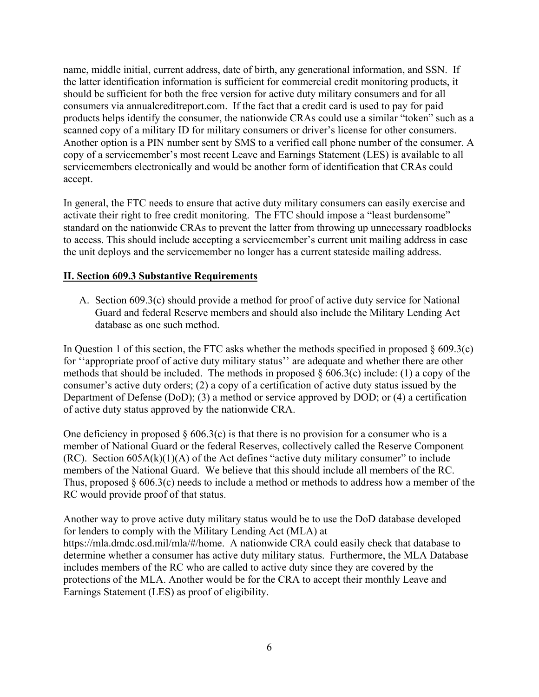name, middle initial, current address, date of birth, any generational information, and SSN. If the latter identification information is sufficient for commercial credit monitoring products, it should be sufficient for both the free version for active duty military consumers and for all consumers via annualcreditreport.com. If the fact that a credit card is used to pay for paid products helps identify the consumer, the nationwide CRAs could use a similar "token" such as a scanned copy of a military ID for military consumers or driver's license for other consumers. Another option is a PIN number sent by SMS to a verified call phone number of the consumer. A copy of a servicemember's most recent Leave and Earnings Statement (LES) is available to all servicemembers electronically and would be another form of identification that CRAs could accept.

In general, the FTC needs to ensure that active duty military consumers can easily exercise and activate their right to free credit monitoring. The FTC should impose a "least burdensome" standard on the nationwide CRAs to prevent the latter from throwing up unnecessary roadblocks to access. This should include accepting a servicemember's current unit mailing address in case the unit deploys and the servicemember no longer has a current stateside mailing address.

## **II. Section 609.3 Substantive Requirements**

A. Section 609.3(c) should provide a method for proof of active duty service for National Guard and federal Reserve members and should also include the Military Lending Act database as one such method.

In Question 1 of this section, the FTC asks whether the methods specified in proposed  $\S$  609.3(c) for ''appropriate proof of active duty military status'' are adequate and whether there are other methods that should be included. The methods in proposed  $\delta$  606.3(c) include: (1) a copy of the consumer's active duty orders; (2) a copy of a certification of active duty status issued by the Department of Defense (DoD); (3) a method or service approved by DOD; or (4) a certification of active duty status approved by the nationwide CRA.

One deficiency in proposed  $\S 606.3(c)$  is that there is no provision for a consumer who is a member of National Guard or the federal Reserves, collectively called the Reserve Component  $(RC)$ . Section 605A(k)(1)(A) of the Act defines "active duty military consumer" to include members of the National Guard. We believe that this should include all members of the RC. Thus, proposed § 606.3(c) needs to include a method or methods to address how a member of the RC would provide proof of that status.

Another way to prove active duty military status would be to use the DoD database developed for lenders to comply with the Military Lending Act (MLA) at https://mla.dmdc.osd.mil/mla/#/home. A nationwide CRA could easily check that database to determine whether a consumer has active duty military status. Furthermore, the MLA Database includes members of the RC who are called to active duty since they are covered by the protections of the MLA. Another would be for the CRA to accept their monthly Leave and Earnings Statement (LES) as proof of eligibility.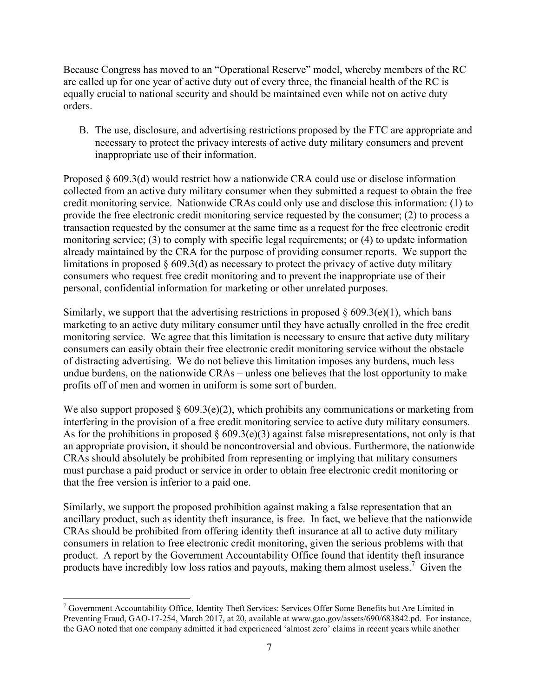Because Congress has moved to an "Operational Reserve" model, whereby members of the RC are called up for one year of active duty out of every three, the financial health of the RC is equally crucial to national security and should be maintained even while not on active duty orders.

B. The use, disclosure, and advertising restrictions proposed by the FTC are appropriate and necessary to protect the privacy interests of active duty military consumers and prevent inappropriate use of their information.

Proposed § 609.3(d) would restrict how a nationwide CRA could use or disclose information collected from an active duty military consumer when they submitted a request to obtain the free credit monitoring service. Nationwide CRAs could only use and disclose this information: (1) to provide the free electronic credit monitoring service requested by the consumer; (2) to process a transaction requested by the consumer at the same time as a request for the free electronic credit monitoring service; (3) to comply with specific legal requirements; or (4) to update information already maintained by the CRA for the purpose of providing consumer reports. We support the limitations in proposed  $\S 609.3(d)$  as necessary to protect the privacy of active duty military consumers who request free credit monitoring and to prevent the inappropriate use of their personal, confidential information for marketing or other unrelated purposes.

Similarly, we support that the advertising restrictions in proposed  $\S$  609.3(e)(1), which bans marketing to an active duty military consumer until they have actually enrolled in the free credit monitoring service. We agree that this limitation is necessary to ensure that active duty military consumers can easily obtain their free electronic credit monitoring service without the obstacle of distracting advertising. We do not believe this limitation imposes any burdens, much less undue burdens, on the nationwide CRAs – unless one believes that the lost opportunity to make profits off of men and women in uniform is some sort of burden.

We also support proposed  $\S 609.3(e)(2)$ , which prohibits any communications or marketing from interfering in the provision of a free credit monitoring service to active duty military consumers. As for the prohibitions in proposed  $\S 609.3(e)(3)$  against false misrepresentations, not only is that an appropriate provision, it should be noncontroversial and obvious. Furthermore, the nationwide CRAs should absolutely be prohibited from representing or implying that military consumers must purchase a paid product or service in order to obtain free electronic credit monitoring or that the free version is inferior to a paid one.

Similarly, we support the proposed prohibition against making a false representation that an ancillary product, such as identity theft insurance, is free. In fact, we believe that the nationwide CRAs should be prohibited from offering identity theft insurance at all to active duty military consumers in relation to free electronic credit monitoring, given the serious problems with that product. A report by the Government Accountability Office found that identity theft insurance products have incredibly low loss ratios and payouts, making them almost useless.<sup>7</sup> Given the

 $\overline{a}$ 

<sup>&</sup>lt;sup>7</sup> Government Accountability Office, Identity Theft Services: Services Offer Some Benefits but Are Limited in Preventing Fraud, GAO-17-254, March 2017, at 20, available at www.gao.gov/assets/690/683842.pd. For instance, the GAO noted that one company admitted it had experienced 'almost zero' claims in recent years while another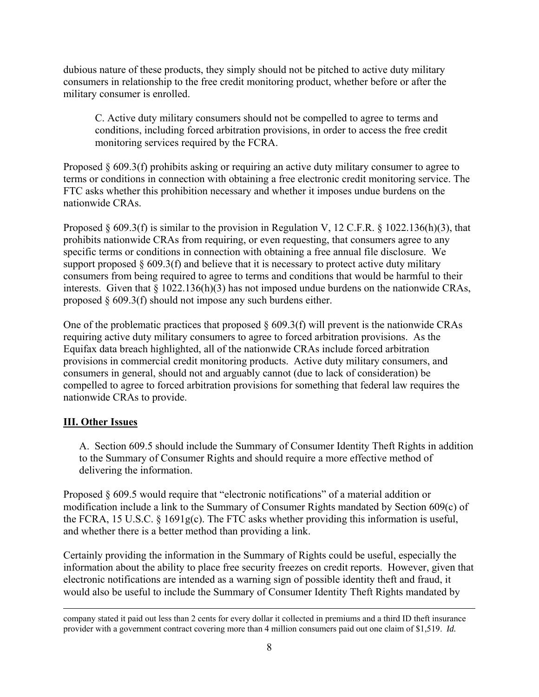dubious nature of these products, they simply should not be pitched to active duty military consumers in relationship to the free credit monitoring product, whether before or after the military consumer is enrolled.

C. Active duty military consumers should not be compelled to agree to terms and conditions, including forced arbitration provisions, in order to access the free credit monitoring services required by the FCRA.

Proposed  $\S 609.3(f)$  prohibits asking or requiring an active duty military consumer to agree to terms or conditions in connection with obtaining a free electronic credit monitoring service. The FTC asks whether this prohibition necessary and whether it imposes undue burdens on the nationwide CRAs.

Proposed § 609.3(f) is similar to the provision in Regulation V, 12 C.F.R. § 1022.136(h)(3), that prohibits nationwide CRAs from requiring, or even requesting, that consumers agree to any specific terms or conditions in connection with obtaining a free annual file disclosure. We support proposed  $\S$  609.3(f) and believe that it is necessary to protect active duty military consumers from being required to agree to terms and conditions that would be harmful to their interests. Given that § 1022.136(h)(3) has not imposed undue burdens on the nationwide CRAs, proposed § 609.3(f) should not impose any such burdens either.

One of the problematic practices that proposed § 609.3(f) will prevent is the nationwide CRAs requiring active duty military consumers to agree to forced arbitration provisions. As the Equifax data breach highlighted, all of the nationwide CRAs include forced arbitration provisions in commercial credit monitoring products. Active duty military consumers, and consumers in general, should not and arguably cannot (due to lack of consideration) be compelled to agree to forced arbitration provisions for something that federal law requires the nationwide CRAs to provide.

# **III. Other Issues**

A. Section 609.5 should include the Summary of Consumer Identity Theft Rights in addition to the Summary of Consumer Rights and should require a more effective method of delivering the information.

Proposed § 609.5 would require that "electronic notifications" of a material addition or modification include a link to the Summary of Consumer Rights mandated by Section 609(c) of the FCRA, 15 U.S.C. § 1691g(c). The FTC asks whether providing this information is useful, and whether there is a better method than providing a link.

Certainly providing the information in the Summary of Rights could be useful, especially the information about the ability to place free security freezes on credit reports. However, given that electronic notifications are intended as a warning sign of possible identity theft and fraud, it would also be useful to include the Summary of Consumer Identity Theft Rights mandated by

company stated it paid out less than 2 cents for every dollar it collected in premiums and a third ID theft insurance provider with a government contract covering more than 4 million consumers paid out one claim of \$1,519. *Id.*